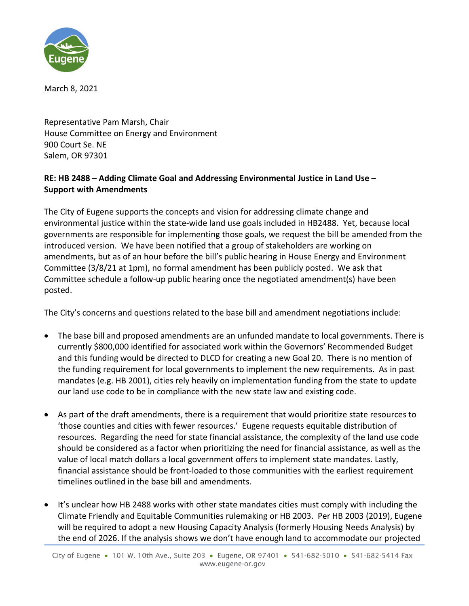

March 8, 2021

Representative Pam Marsh, Chair House Committee on Energy and Environment 900 Court Se. NE Salem, OR 97301

## **RE: HB 2488 – Adding Climate Goal and Addressing Environmental Justice in Land Use – Support with Amendments**

The City of Eugene supports the concepts and vision for addressing climate change and environmental justice within the state-wide land use goals included in HB2488. Yet, because local governments are responsible for implementing those goals, we request the bill be amended from the introduced version. We have been notified that a group of stakeholders are working on amendments, but as of an hour before the bill's public hearing in House Energy and Environment Committee (3/8/21 at 1pm), no formal amendment has been publicly posted. We ask that Committee schedule a follow-up public hearing once the negotiated amendment(s) have been posted.

The City's concerns and questions related to the base bill and amendment negotiations include:

- The base bill and proposed amendments are an unfunded mandate to local governments. There is currently \$800,000 identified for associated work within the Governors' Recommended Budget and this funding would be directed to DLCD for creating a new Goal 20. There is no mention of the funding requirement for local governments to implement the new requirements. As in past mandates (e.g. HB 2001), cities rely heavily on implementation funding from the state to update our land use code to be in compliance with the new state law and existing code.
- As part of the draft amendments, there is a requirement that would prioritize state resources to 'those counties and cities with fewer resources.' Eugene requests equitable distribution of resources. Regarding the need for state financial assistance, the complexity of the land use code should be considered as a factor when prioritizing the need for financial assistance, as well as the value of local match dollars a local government offers to implement state mandates. Lastly, financial assistance should be front-loaded to those communities with the earliest requirement timelines outlined in the base bill and amendments.
- It's unclear how HB 2488 works with other state mandates cities must comply with including the Climate Friendly and Equitable Communities rulemaking or HB 2003. Per HB 2003 (2019), Eugene will be required to adopt a new Housing Capacity Analysis (formerly Housing Needs Analysis) by the end of 2026. If the analysis shows we don't have enough land to accommodate our projected